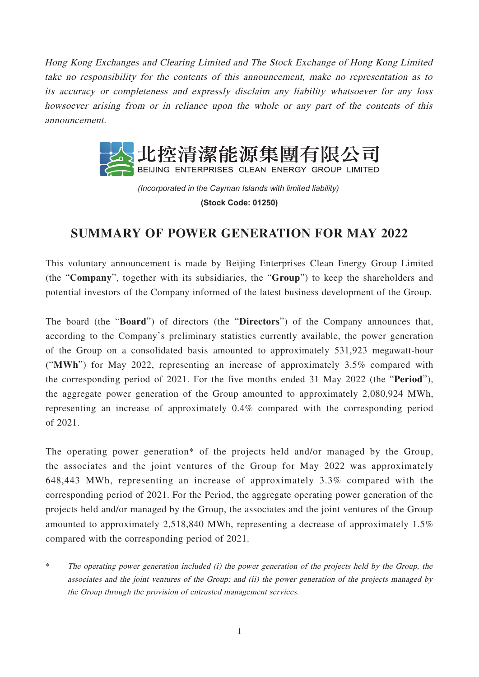Hong Kong Exchanges and Clearing Limited and The Stock Exchange of Hong Kong Limited take no responsibility for the contents of this announcement, make no representation as to its accuracy or completeness and expressly disclaim any liability whatsoever for any loss howsoever arising from or in reliance upon the whole or any part of the contents of this announcement.



*(Incorporated in the Cayman Islands with limited liability)*  **(Stock Code: 01250)**

## **SUMMARY OF POWER GENERATION FOR MAY 2022**

This voluntary announcement is made by Beijing Enterprises Clean Energy Group Limited (the "**Company**", together with its subsidiaries, the "**Group**") to keep the shareholders and potential investors of the Company informed of the latest business development of the Group.

The board (the "**Board**") of directors (the "**Directors**") of the Company announces that, according to the Company's preliminary statistics currently available, the power generation of the Group on a consolidated basis amounted to approximately 531,923 megawatt-hour ("**MWh**") for May 2022, representing an increase of approximately 3.5% compared with the corresponding period of 2021. For the five months ended 31 May 2022 (the "**Period**"), the aggregate power generation of the Group amounted to approximately 2,080,924 MWh, representing an increase of approximately 0.4% compared with the corresponding period of 2021.

The operating power generation\* of the projects held and/or managed by the Group, the associates and the joint ventures of the Group for May 2022 was approximately 648,443 MWh, representing an increase of approximately 3.3% compared with the corresponding period of 2021. For the Period, the aggregate operating power generation of the projects held and/or managed by the Group, the associates and the joint ventures of the Group amounted to approximately 2,518,840 MWh, representing a decrease of approximately 1.5% compared with the corresponding period of 2021.

\* The operating power generation included (i) the power generation of the projects held by the Group, the associates and the joint ventures of the Group; and (ii) the power generation of the projects managed by the Group through the provision of entrusted management services.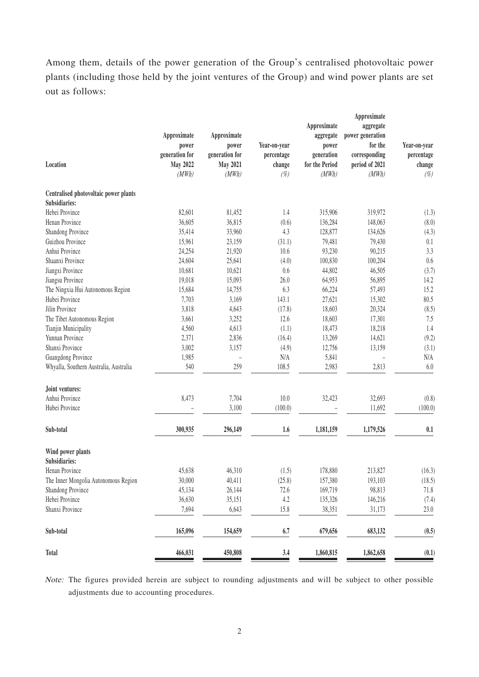Among them, details of the power generation of the Group's centralised photovoltaic power plants (including those held by the joint ventures of the Group) and wind power plants are set out as follows:

|                                        |                 |                 |              |                | Approximate      |              |
|----------------------------------------|-----------------|-----------------|--------------|----------------|------------------|--------------|
|                                        |                 |                 |              | Approximate    | aggregate        |              |
|                                        | Approximate     | Approximate     |              | aggregate      | power generation |              |
|                                        | power           | power           | Year-on-year | power          | for the          | Year-on-year |
|                                        | generation for  | generation for  | percentage   | generation     | corresponding    | percentage   |
| Location                               | <b>May 2022</b> | <b>May 2021</b> | change       | for the Period | period of 2021   | change       |
|                                        | (MWh)           | (MWh)           | $(\%)$       | (MWh)          | (MWh)            | $(\%)$       |
| Centralised photovoltaic power plants  |                 |                 |              |                |                  |              |
| Subsidiaries:                          |                 |                 |              |                |                  |              |
| Hebei Province                         | 82,601          | 81,452          | 1.4          | 315,906        | 319,972          | (1.3)        |
| Henan Province                         | 36,605          | 36,815          | (0.6)        | 136,284        | 148,063          | (8.0)        |
| Shandong Province                      | 35,414          | 33,960          | 4.3          | 128,877        | 134,626          | (4.3)        |
| Guizhou Province                       | 15,961          | 23,159          | (31.1)       | 79,481         | 79,430           | 0.1          |
| Anhui Province                         | 24,254          | 21,920          | 10.6         | 93,230         | 90,215           | 3.3          |
| Shaanxi Province                       | 24,604          | 25,641          | (4.0)        | 100,830        | 100,204          | 0.6          |
| Jiangxi Province                       | 10,681          | 10,621          | 0.6          | 44,802         | 46,505           | (3.7)        |
| Jiangsu Province                       | 19,018          | 15,093          | 26.0         | 64,953         | 56,895           | 14.2         |
| The Ningxia Hui Autonomous Region      | 15,684          | 14,755          | 6.3          | 66,224         | 57,493           | 15.2         |
| Hubei Province                         | 7,703           | 3,169           | 143.1        | 27,621         | 15,302           | 80.5         |
| Jilin Province                         | 3,818           | 4,643           | (17.8)       | 18,603         | 20,324           | (8.5)        |
| The Tibet Autonomous Region            | 3,661           | 3,252           | 12.6         | 18,603         | 17,301           | 7.5          |
| Tianjin Municipality                   | 4,560           | 4,613           | (1.1)        | 18,473         | 18,218           | 1.4          |
| Yunnan Province                        | 2,371           | 2,836           | (16.4)       | 13,269         | 14,621           | (9.2)        |
| Shanxi Province                        | 3,002           | 3,157           | (4.9)        | 12,756         | 13,159           | (3.1)        |
| Guangdong Province                     | 1,985           | $\overline{a}$  | N/A          | 5,841          | L,               | N/A          |
| Whyalla, Southern Australia, Australia | 540             | 259             | 108.5        | 2,983          | 2,813            | $6.0\,$      |
| Joint ventures:                        |                 |                 |              |                |                  |              |
| Anhui Province                         | 8,473           | 7,704           | 10.0         | 32,423         | 32,693           | (0.8)        |
| Hubei Province                         |                 | 3,100           | (100.0)      |                | 11,692           | (100.0)      |
| Sub-total                              |                 |                 |              |                |                  |              |
|                                        | 300,935         | 296,149         | 1.6          | 1,181,159      | 1,179,526        | 0.1          |
| Wind power plants                      |                 |                 |              |                |                  |              |
| Subsidiaries:                          |                 |                 |              |                |                  |              |
| Henan Province                         | 45,638          | 46,310          | (1.5)        | 178,880        | 213,827          | (16.3)       |
| The Inner Mongolia Autonomous Region   | 30,000          | 40,411          | (25.8)       | 157,380        | 193,103          | (18.5)       |
| Shandong Province                      | 45,134          | 26,144          | 72.6         | 169,719        | 98,813           | 71.8         |
| Hebei Province                         | 36,630          | 35,151          | 4.2          | 135,326        | 146,216          | (7.4)        |
| Shanxi Province                        | 7,694           | 6,643           | 15.8         | 38,351         | 31,173           | 23.0         |
| Sub-total                              | 165,096         | 154,659         | 6.7          | 679,656        | 683,132          | (0.5)        |
| Total                                  | 466,031         | 450,808         | 3.4          | 1,860,815      | 1,862,658        | (0.1)        |
|                                        |                 |                 |              |                |                  |              |

Note: The figures provided herein are subject to rounding adjustments and will be subject to other possible adjustments due to accounting procedures.